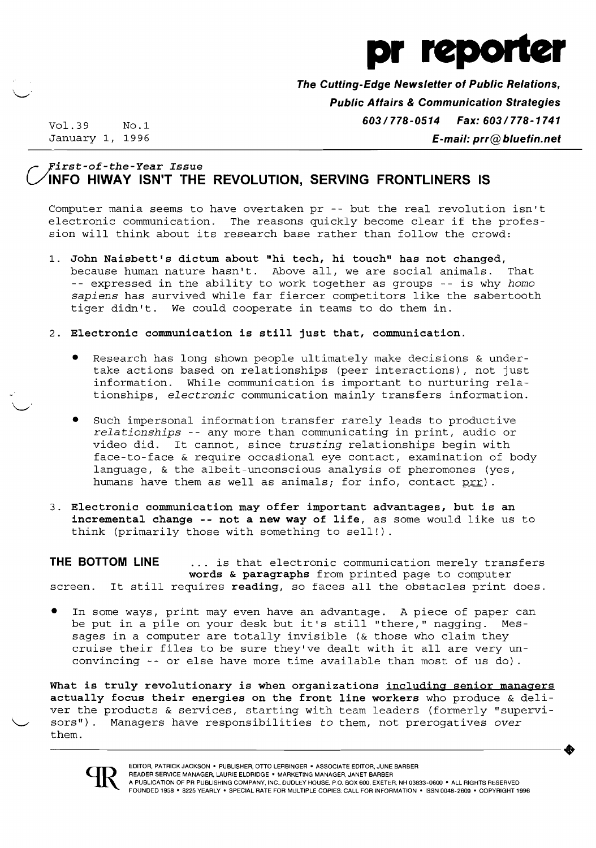

**The Cutting-Edge Newsletter of Public Relations, Public Affairs & Communication Strategies**  Vol.39 NO.1 **603/778-0514** *Fax: 603/778-1741*  January 1, 1996 **E-mail: prr@bluefin.net** 

 $\smile$ 

### **r-** *yirst-of-the-Year Issue*  **VINFO HIWAY ISN'T THE REVOLUTION, SERVING FRONTLINERS IS**

Computer mania seems to have overtaken pr -- but the real revolution isn't<br>electronic communication. The reasons quickly become clear if the profes-The reasons quickly become clear if the profession will think about its research base rather than follow the crowd:

- 1. **John Naisbett's dictum about "hi tech, hi touch" has not changed,**  because human nature hasn't. Above all, we are social animals. That -- expressed in the ability to work together as groups -- is why *homo sapiens* has survived while far fiercer competitors like the sabertooth tiger didn't. We could cooperate in teams to do them in.
- 2. **Electronic communication is still just that, communication.** 
	- Research has long shown people ultimately make decisions & undertake actions based on relationships (peer interactions), not just information. While communication is important to nurturing relationships, *electronic* communication mainly transfers information.
	- Such impersonal information transfer rarely leads to productive *relationships* -- any more than communicating in print, audio or video did. It cannot, since *trusting* relationships begin with face-to-face & require occasional eye contact, examination of body language, & the albeit-unconscious analysis of pheromones (yes, humans have them as well as animals; for info, contact prr).
- 3. **Electronic communication may offer important advantages, but is an incremental change -- not a new way of life,** as some would like us to think (primarily those with something to sell!).

**THE BOTTOM LINE** ... is that electronic communication merely transfers **words & paragraphs** from printed page to computer screen. It still requires **reading,** so faces all the obstacles print does.

In some ways, print may even have an advantage. A piece of paper can be put in a pile on your desk but it's still "there," nagging. Messages **in** a computer are totally invisible (& those who claim they cruise their files to be sure they've dealt with it all are very unconvincing -- or else have more time available than most of us do).

**What is truly revolutionary is when organizations including senior managers actually focus their energies on the front line workers** who produce & deliver the products & services, starting with team leaders (formerly "supervi sors"). Managers have responsibilities to them, not prerogatives over them. them.

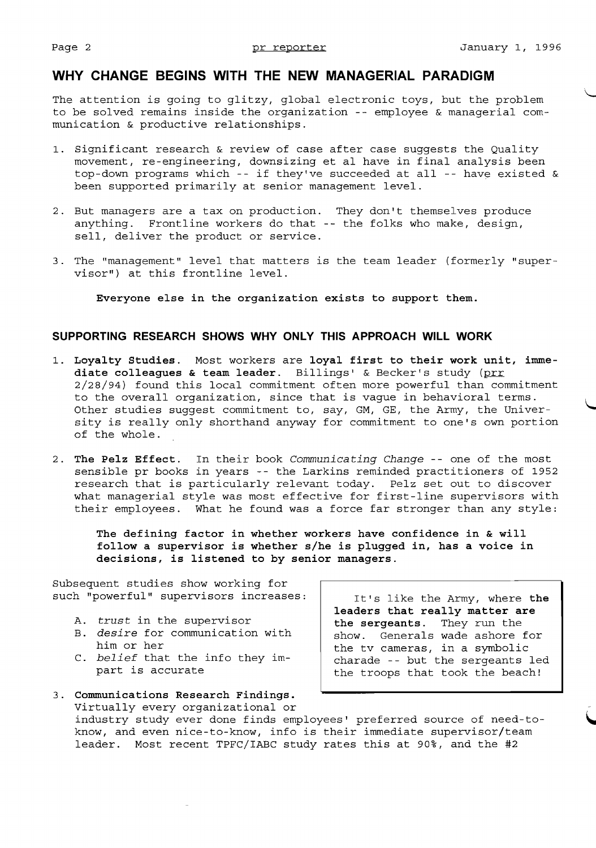## **WHY CHANGE BEGINS WITH THE NEW MANAGERIAL PARADIGM**

The attention is going to glitzy, global electronic toys, but the problem to be solved remains inside the organization -- employee & managerial communication & productive relationships.

- 1. Significant research & review of case after case suggests the Quality movement, re-engineering, downsizing et al have in final analysis been top-down programs which -- if they've succeeded at all -- have existed & been supported primarily at senior management level.
- 2. But managers are a tax on production. They don't themselves produce anything. Frontline workers do that -- the folks who make, design, sell, deliver the product or service.
- 3. The "management" level that matters is the team leader (formerly "supervisor") at this frontline level.

**Everyone else in the organization exists to support them.** 

### **SUPPORTING RESEARCH SHOWS WHY ONLY THIS APPROACH WILL WORK**

- 1. Loyalty Studies. Most workers are loyal first to their work unit, imme**diate colleagues & team leader.** Billings' & Becker's study (prr 2/28/94) found this local commitment often more powerful than commitment to the overall organization, since that is vague in behavioral terms. Other studies suggest commitment to, say, GM, GE, the Army, the University is really only shorthand anyway for commitment to one's own portion of the whole.
- 2. **The Pelz Effect.** In their book *Communicating Change* -- one of the most sensible pr books in years -- the Larkins reminded practitioners of 1952 research that is particularly relevant today. Pelz set out to discover what managerial style was most effective for first-line supervisors with their employees. What he found was a force far stronger than any style:

**The defining factor in whether workers have confidence in & will follow a supervisor is whether** s/he **is plugged in, has a voice in decisions, is listened to by senior managers.** 

Subsequent studies show working for such "powerful" supervisors increases:  $\vert$  It's like the Army, where the

- 
- B. *desire* for communication with him or her
- 
- 3. **Communications Research Findings.**  Virtually every organizational or industry study ever done finds employees' preferred source of need-toknow, and even nice-to-know, info is their immediate supervisor/team leader. Most recent TPFC/IABC study rates this at 90%, and the #2

**leaders that really matter are**  A. *trust* in the supervisor<br>B. *desire* for communication with the sergeants. They run the him or her the tv cameras, in a symbolic<br>C. belief that the info they im-<br>charade -- but the sergeants belief that the info they im-<br>part is accurate<br>the troops that took the beach! the troops that took the beach!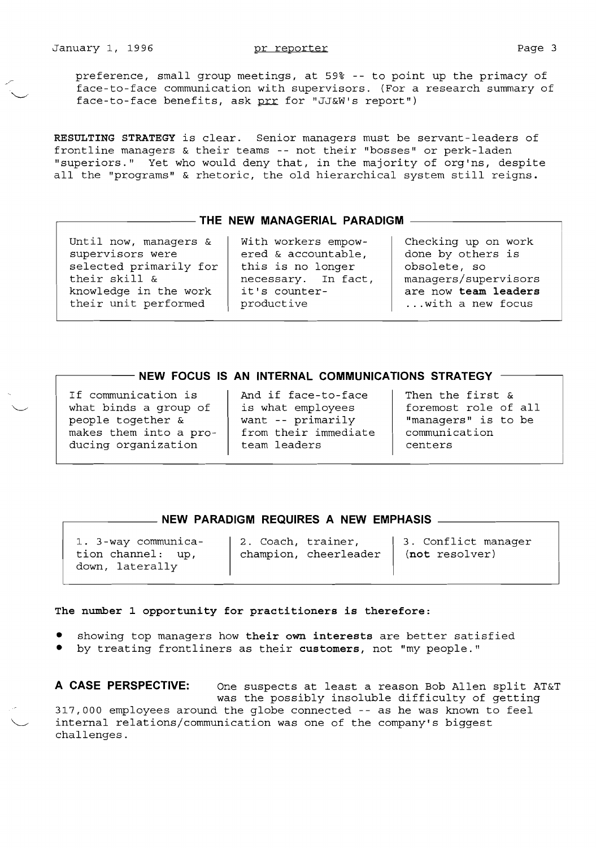preference, small group meetings, at 59% -- to point up the primacy of face-to-face communication with supervisors. (For a research summary of face-to-face benefits, ask prr for "JJ&W's report")

**RESULTING STRATEGY** is clear. Senior managers must be servant-leaders of frontline managers & their teams -- not their "bosses" or perk-laden "superiors." Yet who would deny that, in the majority of org'ns, despite all the "programs" & rhetoric, the old hierarchical system still reigns.

# r--------**THE NEW MANAGERIAL PARADIGM**

Until now, managers & supervisors were selected primarily for their skill & knowledge in the work their unit performed

with workers empowered & accountable, this is no longer necessary. In fact, it's counterproductive

Checking up on work done by others is obsolete, so managers/supervisors are now **team leaders**  ...with a new focus

### - NEW FOCUS IS AN INTERNAL COMMUNICATIONS STRATEGY  $\,$  -

If communication is what binds a group of people together & makes them into a producing organization

And if face-to-face is what employees want -- primarily from their immediate team leaders

Then the first & foremost role of all "managers" is to be communication centers

# ,-------- **NEW PARADIGM REQUIRES A NEW EMPHASIS**

1. 3-way communica- | 2. Coach, trainer, | 3. Conflict manager down, laterally

tion channel: up, champion, cheerleader **(not** resolver)

### **The number 1 opportunity for practitioners is therefore:**

- showing top managers how **their own interests** are better satisfied
- by treating frontliners as their **customers,** not "my people."

**A CASE PERSPECTIVE:** One suspects at least a reason Bob Allen split AT&T was the possibly insoluble difficulty of getting 317,000 employees around the globe connected -- as he was known to feel internal relations/communication was one of the company's biggest challenges.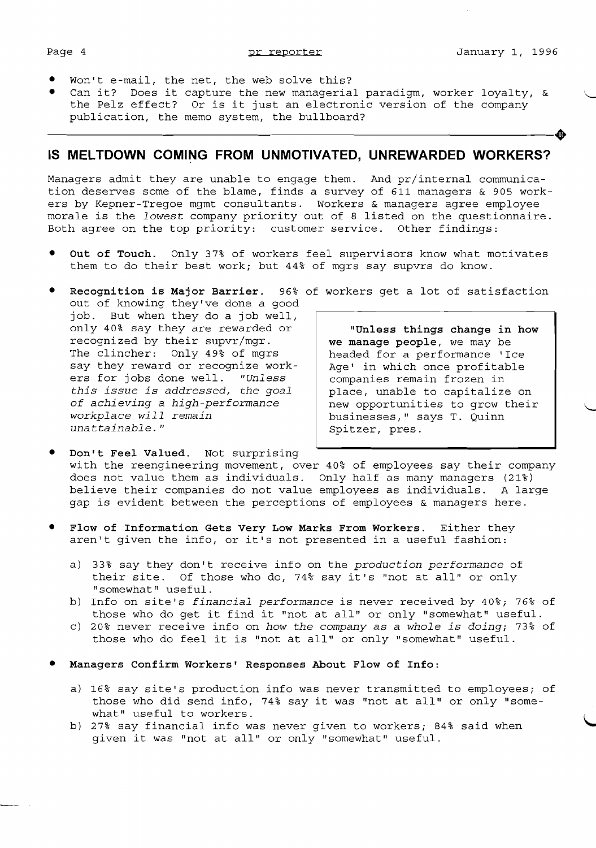- Won't e-mail, the net, the web solve this?
- Can it? Does it capture the new managerial paradigm, worker loyalty,  $\&$ the Pelz effect? Or is it just an electronic version of the company publication, the memo system, the bullboard?

## **IS MELTDOWN COMING FROM UNMOTIVATED, UNREWARDED WORKERS?**

Managers admit they are unable to engage them. And pr/internal communication deserves some of the blame, finds a survey of 611 managers & 905 workers by Kepner-Tregoe mgmt consultants. Workers & managers agree employee morale is the *lowest* company priority out of 8 listed on the questionnaire. Both agree on the top priority: customer service. Other findings:

- Out of Touch. Only 37% of workers feel supervisors know what motivates them to do their best work; but 44% of mgrs say supvrs do know.
- **Recognition is Major Barrier.** 96% of workers get a lot of satisfaction out of knowing they've done a good job. But when they do a job well, only 40% say they are rewarded or **"Unless things change in how**  recognized by their supvr/mgr. **we manage people,** we may be say they reward or recognize work-  $\begin{vmatrix} \text{Age'} & \text{in which once profitable} \\ \text{companies remain frozen in} \end{vmatrix}$ ers for jobs done well. *"Unless this issue is addressed, the goal* place, unable to capitalize on<br>of achieving a high-performance and new opportunities to grow their *of achieving a high-performance*<br>workplace will remain *workplace will remain* businesses," says T. Quinn

headed for a performance 'Ice Spitzer, pres.

Don't Feel Valued. Not surprising with the reengineering movement, over 40% of employees say their company does not value them as individuals. Only half as many managers (21%) believe their companies do not value employees as individuals. A large gap is evident between the perceptions of employees & managers here.

- Flow of Information Gets Very Low Marks From Workers. Either they aren't given the info, or it's not presented in a useful fashion:
	- a) 33% say they don't receive info on the *production performance* of their site. Of those who do, 74% say it's "not at all" or only "somewhat" useful.
	- b) Info on site's *financial performance* is never received by 40%; 76% of those who do get it find it "not at all" or only "somewhat" useful.
	- c) 20% never receive info on *how the company* as a *whole is doing;* 73% of those who do feel it is "not at all" or only "somewhat" useful.
- Managers Confirm Workers' Responses About Flow of Info:
	- a) 16% say site's production info was never transmitted to employees; of those who did send info, 74% say it was "not at all" or only "somewhat" useful to workers.
	- b) 27% say financial info was never given to workers; 84% said when given it was "not at all" or only "somewhat" useful.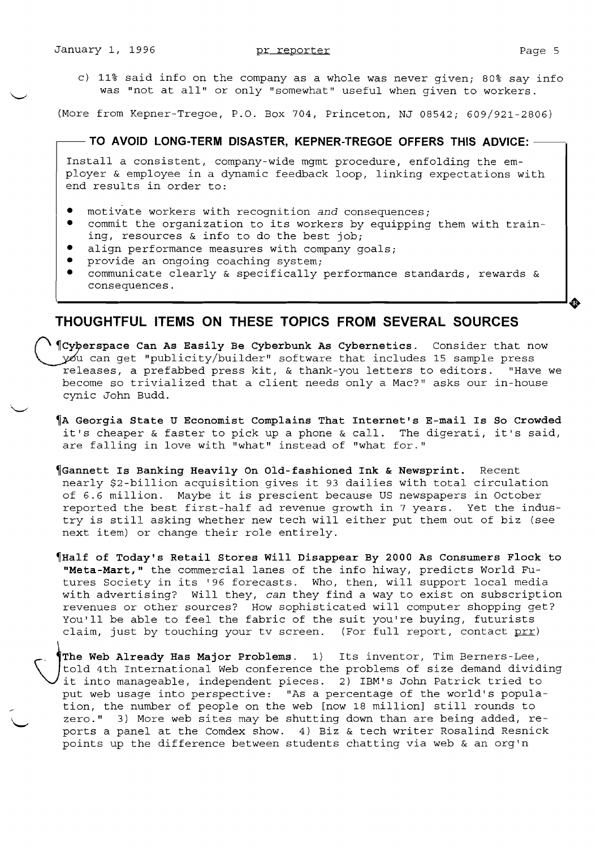c) 11% said info on the company as a whole was never given; 80% say info was "not at all" or only "somewhat" useful when given to workers.

(More from Kepner-Tregoe, P.O. Box 704, Princeton, NJ 08542; 609/921-2806)

 $-$  TO AVOID LONG-TERM DISASTER, KEPNER-TREGOE OFFERS THIS ADVICE:  $-$ 

Install a consistent, company-wide mgmt procedure, enfolding the employer & employee in a dynamic feedback loop, linking expectations with end results in order to:

- motivate workers with recognition and consequences;
- commit the organization to its workers by equipping them with training, resources & info to do the best job;
- align performance measures with company goals;
- provide an ongoing coaching system;<br>• communicate clearly & specifically
- communicate clearly & specifically performance standards, rewards & consequences.

### **THOUGHTFUL ITEMS ON THESE TOPICS FROM SEVERAL SOURCES**

(\ ~Cy~erspace **Can As Easily Be Cyberbunk As Cybernetics.** Consider that now you can get "publicity/builder" software that includes 15 sample press releases, a prefabbed press kit, & thank-you letters to editors. "Have we become so trivialized that a client needs only a Mac?" asks our in-house cynic John Budd.

- ~A **Georgia State U Economist Complains That Internet's E-mail Is So Crowded**  it's cheaper & faster to pick up a phone & call. The digerati, it's said, are falling in love with "what" instead of "what for."
- ~Gannett **Is Banking Heavily On Old-fashioned Ink & Newsprint.** Recent nearly \$2-billion acquisition gives it 93 dailies with total circulation of 6.6 million. Maybe it is prescient because US newspapers in October reported the best first-half ad revenue growth in 7 years. Yet the industry is still asking whether new tech will either put them out of biz (see next item) or change their role entirely.
- ~Half **of Today's Retail Stores will Disappear By 2000 As Consumers Flock to "Meta-Mart,"** the commercial lanes of the info hiway, predicts World Futures Society in its '96 forecasts. Who, then, will support local media with advertising? Will they, *can* they find a way to exist on subscription revenues or other sources? How sophisticated will computer shopping get? You'll be able to feel the fabric of the suit you're buying, futurists<br>claim, just by touching your tv screen. (For full report, contact prr) claim, just by touching your tv screen.

claim, just by touching your tv screen. (For full report, contact prr)<br>
The Web Already Has Major Problems. 1) Its inventor, Tim Berners-Lee,<br>
told 4th International Web conference the problems of size demand divid<br>
it int The Web Already Has Major Problems. 1) Its inventor, Tim Berners-Lee,<br>told 4th International Web conference the problems of size demand dividing it into manageable, independent pieces. 2) IBM's John Patrick tried to tion, the number of people on the web [now 18 million] still rounds to zero." 3) More web sites may be shutting down than are being added, reports a panel at the Comdex show.  $4)$  Biz & tech writer Rosalind Resnick points up the difference between students chatting via web & an org'n